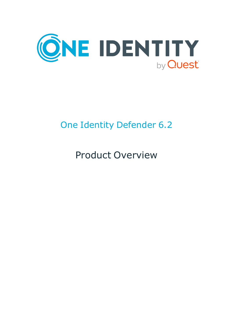

# One Identity Defender 6.2

Product Overview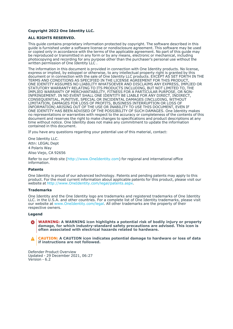### **Copyright 2022 One Identity LLC.**

#### **ALL RIGHTS RESERVED.**

This guide contains proprietary information protected by copyright. The software described in this guide is furnished under a software license or nondisclosure agreement. This software may be used or copied only in accordance with the terms of the applicable agreement. No part of this guide may be reproduced or transmitted in any form or by any means, electronic or mechanical, including photocopying and recording for any purpose other than the purchaser's personal use without the written permission of One Identity LLC .

The information in this document is provided in connection with One Identity products. No license, express or implied, by estoppel or otherwise, to any intellectual property right is granted by this document or in connection with the sale of One Identity LLC products. EXCEPT AS SET FORTH IN THE TERMS AND CONDITIONS AS SPECIFIED IN THE LICENSE AGREEMENT FOR THIS PRODUCT, ONE IDENTITY ASSUMES NO LIABILITY WHATSOEVER AND DISCLAIMS ANY EXPRESS, IMPLIED OR STATUTORY WARRANTY RELATING TO ITS PRODUCTS INCLUDING, BUT NOT LIMITED TO, THE IMPLIED WARRANTY OF MERCHANTABILITY, FITNESS FOR A PARTICULAR PURPOSE, OR NON-INFRINGEMENT. IN NO EVENT SHALL ONE IDENTITY BE LIABLE FOR ANY DIRECT, INDIRECT, CONSEQUENTIAL, PUNITIVE, SPECIAL OR INCIDENTAL DAMAGES (INCLUDING, WITHOUT LIMITATION, DAMAGES FOR LOSS OF PROFITS, BUSINESS INTERRUPTION OR LOSS OF INFORMATION) ARISING OUT OF THE USE OR INABILITY TO USE THIS DOCUMENT, EVEN IF ONE IDENTITY HAS BEEN ADVISED OF THE POSSIBILITY OF SUCH DAMAGES. One Identity makes no representations or warranties with respect to the accuracy or completeness of the contents of this document and reserves the right to make changes to specifications and product descriptions at any time without notice. One Identity does not make any commitment to update the information contained in this document.

If you have any questions regarding your potential use of this material, contact:

One Identity LLC. Attn: LEGAL Dept 4 Polaris Way Aliso Viejo, CA 92656

Refer to our Web site [\(http://www.OneIdentity.com](http://www.oneidentity.com/)) for regional and international office information.

#### **Patents**

One Identity is proud of our advanced technology. Patents and pending patents may apply to this product. For the most current information about applicable patents for this product, please visit our website at [http://www.OneIdentity.com/legal/patents.aspx.](http://www.oneidentity.com/legal/patents.aspx)

#### **Trademarks**

One Identity and the One Identity logo are trademarks and registered trademarks of One Identity LLC. in the U.S.A. and other countries. For a complete list of One Identity trademarks, please visit our website at [www.OneIdentity.com/legal](http://www.oneidentity.com/legal). All other trademarks are the property of their respective owners.

#### **Legend**

**WARNING: A WARNING icon highlights a potential risk of bodily injury or property** œ **damage, for which industry-standard safety precautions are advised. This icon is often associated with electrical hazards related to hardware.**

**CAUTION: A CAUTION icon indicates potential damage to hardware or loss of data if instructions are not followed.**

Defender Product Overview Updated - 29 December 2021, 06:27 Version - 6.2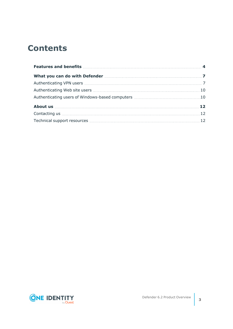## **Contents**

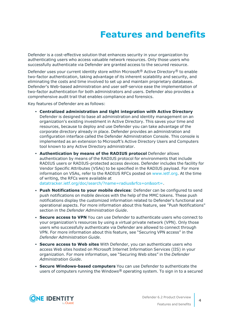# **Features and benefits**

<span id="page-3-0"></span>Defender is a cost-effective solution that enhances security in your organization by authenticating users who access valuable network resources. Only those users who successfully authenticate via Defender are granted access to the secured resource.

Defender uses your current identity store within Microsoft<sup>®</sup> Active Directory<sup>®</sup> to enable two-factor authentication, taking advantage of its inherent scalability and security, and eliminating the costs and time involved to set up and maintain proprietary databases. Defender's Web-based administration and user self-service ease the implementation of two-factor authentication for both administrators and users. Defender also provides a comprehensive audit trail that enables compliance and forensics.

Key features of Defender are as follows:

- <sup>l</sup> **Centralized administration and tight integration with Active Directory** Defender is designed to base all administration and identity management on an organization's existing investment in Active Directory. This saves your time and resources, because to deploy and use Defender you can take advantage of the corporate directory already in place. Defender provides an administration and configuration interface called the Defender Administration Console. This console is implemented as an extension to Microsoft's Active Directory Users and Computers tool known to any Active Directory administrator.
- <sup>l</sup> **Authentication by means of the RADIUS protocol** Defender allows authentication by means of the RADIUS protocol for environments that include RADIUS users or RADIUS-protected access devices. Defender includes the facility for Vendor Specific Attributes (VSAs) to be specified in the RADIUS payload. For more information on VSAs, refer to the RADIUS RFCs posted on [www.ietf.org.](http://www.ietf.org/) At the time of writing, the RFCs were available at [datatracker.ietf.org/doc/search/?name=radius&rfcs=on&sort=.](https://datatracker.ietf.org/doc/search/?name=radius&rfcs=on&sort=)
- <sup>l</sup> **Push Notifications to your mobile devices**: Defender can be configured to send push notifications on mobile devices with the help of the MMC tokens. These push notifications display the customized information related to Defender's functional and operational aspects. For more information about this feature, see "Push Notifications" section in the *Defender Administration Guide*.
- **. Secure access to VPN** You can use Defender to authenticate users who connect to your organization's resources by using a virtual private network (VPN). Only those users who successfully authenticate via Defender are allowed to connect through VPN. For more information about this feature, see "Securing VPN access" in the *Defender Administration Guide*.
- <sup>l</sup> **Secure access to Web sites** With Defender, you can authenticate users who access Web sites hosted on Microsoft Internet Information Services (IIS) in your organization. For more information, see "Securing Web sites" in the *Defender Administration Guide*.
- <sup>l</sup> **Secure Windows-based computers** You can use Defender to authenticate the users of computers running the Windows<sup>®</sup> operating system. To sign in to a secured

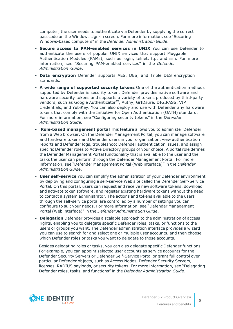computer, the user needs to authenticate via Defender by supplying the correct passcode on the Windows sign-in screen. For more information, see "Securing Windows-based computers" in the *Defender Administration Guide*.

- <sup>l</sup> **Secure access to PAM-enabled services in UNIX** You can use Defender to authenticate the users of popular UNIX services that support Pluggable Authentication Modules (PAMs), such as login, telnet, ftp, and ssh. For more information, see "Securing PAM-enabled services" in the *Defender Administration Guide*.
- **Data encryption** Defender supports AES, DES, and Triple DES encryption standards.
- <sup>l</sup> **A wide range of supported security tokens** One of the authentication methods supported by Defender is security token. Defender provides native software and hardware security tokens and supports a variety of tokens produced by third-party vendors, such as Google Authenticator™, Authy, GrIDsure, DIGIPASS, VIP credentials, and YubiKey. You can also deploy and use with Defender any hardware tokens that comply with the Initiative for Open Authentication (OATH) standard. For more information, see "Configuring security tokens" in the *Defender Administration Guide*.
- <sup>l</sup> **Role-based management portal** This feature allows you to administer Defender from a Web browser. On the Defender Management Portal, you can manage software and hardware tokens and Defender users in your organization, view authentication reports and Defender logs, troubleshoot Defender authentication issues, and assign specific Defender roles to Active Directory groups of your choice. A portal role defines the Defender Management Portal functionality that is available to the user and the tasks the user can perform through the Defender Management Portal. For more information, see "Defender Management Portal (Web interface)" in the *Defender Administration Guide*.
- **User self-service** You can simplify the administration of your Defender environment by deploying and configuring a self-service Web site called the Defender Self-Service Portal. On this portal, users can request and receive new software tokens, download and activate token software, and register existing hardware tokens without the need to contact a system administrator. The actions and tokens available to the users through the self-service portal are controlled by a number of settings you can configure to suit your needs. For more information, see "Defender Management Portal (Web interface)" in the *Defender Administration Guide*.
- **Delegation** Defender provides a scalable approach to the administration of access rights, enabling you to delegate specific Defender roles, tasks, or functions to the users or groups you want. The Defender administration interface provides a wizard you can use to search for and select one or multiple user accounts, and then choose which Defender roles or tasks you want to delegate to those accounts.

Besides delegating roles or tasks, you can also delegate specific Defender functions. For example, you can appoint selected user accounts as service accounts for the Defender Security Servers or Defender Self-Service Portal or grant full control over particular Defender objects, such as Access Nodes, Defender Security Servers, licenses, RADIUS payloads, or security tokens. For more information, see "Delegating Defender roles, tasks, and functions" in the *Defender Administration Guide*.



**5**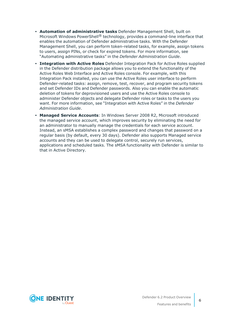- <sup>l</sup> **Automation of administrative tasks** Defender Management Shell, built on Microsoft Windows PowerShell<sup>®</sup> technology, provides a command-line interface that enables the automation of Defender administrative tasks. With the Defender Management Shell, you can perform token-related tasks, for example, assign tokens to users, assign PINs, or check for expired tokens. For more information, see "Automating administrative tasks" in the *Defender Administration Guide*.
- <sup>l</sup> **Integration with Active Roles** Defender Integration Pack for Active Roles supplied in the Defender distribution package allows you to extend the functionality of the Active Roles Web Interface and Active Roles console. For example, with this Integration Pack installed, you can use the Active Roles user interface to perform Defender-related tasks: assign, remove, test, recover, and program security tokens and set Defender IDs and Defender passwords. Also you can enable the automatic deletion of tokens for deprovisioned users and use the Active Roles console to administer Defender objects and delegate Defender roles or tasks to the users you want. For more information, see "Integration with Active Roles" in the *Defender Administration Guide*.
- <sup>l</sup> **Managed Service Accounts**: In Windows Server 2008 R2, Microsoft introduced the managed service account, which improves security by eliminating the need for an administrator to manually manage the credentials for each service account. Instead, an sMSA establishes a complex password and changes that password on a regular basis (by default, every 30 days). Defender also supports Managed service accounts and they can be used to delegate control, securely run services, applications and scheduled tasks. The sMSA functionality with Defender is similar to that in Active Directory.

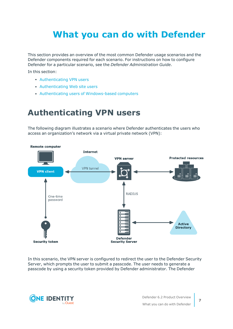# <span id="page-6-0"></span>**What you can do with Defender**

This section provides an overview of the most common Defender usage scenarios and the Defender components required for each scenario. For instructions on how to configure Defender for a particular scenario, see the *Defender Administration Guide*.

In this section:

- [Authenticating](#page-6-1) VPN users
- [Authenticating](#page-9-0) Web site users
- <span id="page-6-1"></span>• Authenticating users of [Windows-based](#page-9-1) computers

### **Authenticating VPN users**

The following diagram illustrates a scenario where Defender authenticates the users who access an organization's network via a virtual private network (VPN):



In this scenario, the VPN server is configured to redirect the user to the Defender Security Server, which prompts the user to submit a passcode. The user needs to generate a passcode by using a security token provided by Defender administrator. The Defender

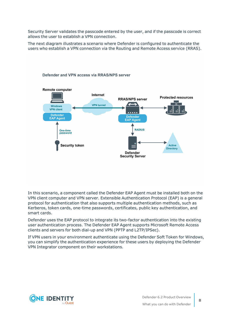Security Server validates the passcode entered by the user, and if the passcode is correct allows the user to establish a VPN connection.

The next diagram illustrates a scenario where Defender is configured to authenticate the users who establish a VPN connection via the Routing and Remote Access service (RRAS).



In this scenario, a component called the Defender EAP Agent must be installed both on the VPN client computer and VPN server. Extensible Authentication Protocol (EAP) is a general protocol for authentication that also supports multiple authentication methods, such as Kerberos, token cards, one-time passwords, certificates, public key authentication, and smart cards.

Defender uses the EAP protocol to integrate its two-factor authentication into the existing user authentication process. The Defender EAP Agent supports Microsoft Remote Access clients and servers for both dial-up and VPN (PPTP and L2TP/IPSec).

If VPN users in your environment authenticate using the Defender Soft Token for Windows, you can simplify the authentication experience for these users by deploying the Defender VPN Integrator component on their workstations.

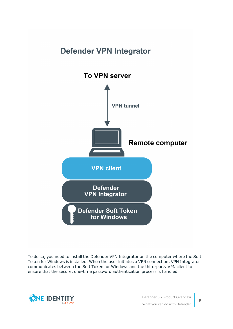# **Defender VPN Integrator To VPN server VPN tunnel Remote computer VPN client Defender VPN Integrator Defender Soft Token** for Windows

To do so, you need to install the Defender VPN Integrator on the computer where the Soft Token for Windows is installed. When the user initiates a VPN connection, VPN Integrator communicates between the Soft Token for Windows and the third-party VPN client to ensure that the secure, one-time password authentication process is handled

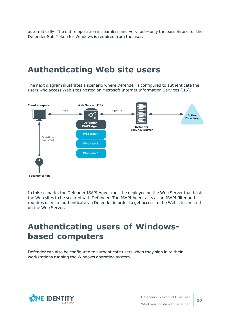automatically. The entire operation is seamless and very fast—only the passphrase for the Defender Soft Token for Windows is required from the user.

### <span id="page-9-0"></span>**Authenticating Web site users**

The next diagram illustrates a scenario where Defender is configured to authenticate the users who access Web sites hosted on Microsoft Internet Information Services (IIS).



In this scenario, the Defender ISAPI Agent must be deployed on the Web Server that hosts the Web sites to be secured with Defender. The ISAPI Agent acts as an ISAPI filter and requires users to authenticate via Defender in order to get access to the Web sites hosted on the Web Server.

### <span id="page-9-1"></span>**Authenticating users of Windowsbased computers**

Defender can also be configured to authenticate users when they sign in to their workstations running the Windows operating system.

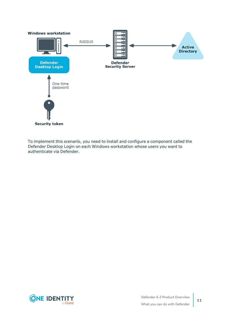

To implement this scenario, you need to install and configure a component called the Defender Desktop Login on each Windows workstation whose users you want to authenticate via Defender.